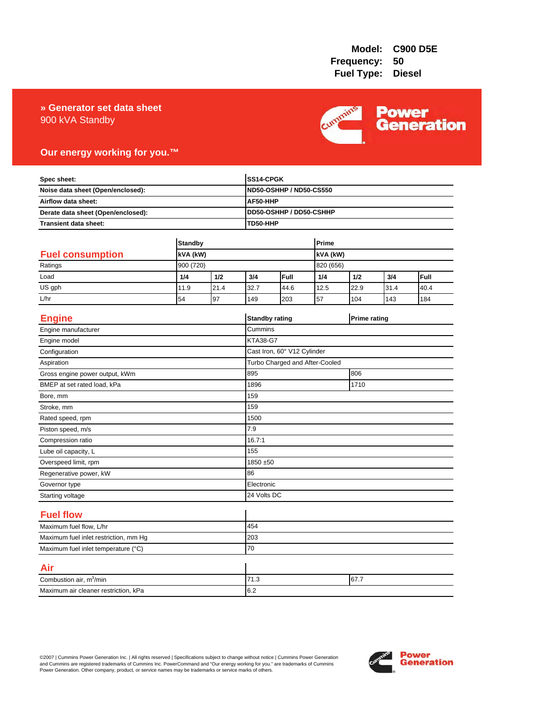## 900 kVA Standby **» Generator set data sheet**



## **Our energy working for you.™**

| Spec sheet:<br>Noise data sheet (Open/enclosed):<br>Airflow data sheet:<br>Derate data sheet (Open/enclosed): |                |      |                 | SS14-CPGK                           |           |                     |      |      |  |
|---------------------------------------------------------------------------------------------------------------|----------------|------|-----------------|-------------------------------------|-----------|---------------------|------|------|--|
|                                                                                                               |                |      |                 | <b>ND50-OSHHP / ND50-CS550</b>      |           |                     |      |      |  |
|                                                                                                               |                |      |                 | AF50-HHP                            |           |                     |      |      |  |
|                                                                                                               |                |      |                 | DD50-OSHHP / DD50-CSHHP<br>TD50-HHP |           |                     |      |      |  |
| <b>Transient data sheet:</b>                                                                                  |                |      |                 |                                     |           |                     |      |      |  |
|                                                                                                               | <b>Standby</b> |      |                 | Prime                               |           |                     |      |      |  |
| <b>Fuel consumption</b>                                                                                       | kVA (kW)       |      |                 | kVA (kW)                            |           |                     |      |      |  |
| Ratings                                                                                                       | 900 (720)      |      |                 |                                     | 820 (656) |                     |      |      |  |
| Load                                                                                                          | 1/4            | 1/2  | 3/4             | Full                                | 1/4       | 1/2                 | 3/4  | Full |  |
| US gph                                                                                                        | 11.9           | 21.4 | 32.7            | 44.6                                | 12.5      | 22.9                | 31.4 | 40.4 |  |
| L/hr                                                                                                          | 54             | 97   | 149             | 203                                 | 57        | 104                 | 143  | 184  |  |
| <b>Engine</b>                                                                                                 |                |      |                 | <b>Standby rating</b>               |           | <b>Prime rating</b> |      |      |  |
| Engine manufacturer                                                                                           |                |      | Cummins         |                                     |           |                     |      |      |  |
| Engine model                                                                                                  |                |      | <b>KTA38-G7</b> |                                     |           |                     |      |      |  |
| Configuration                                                                                                 |                |      |                 | Cast Iron, 60° V12 Cylinder         |           |                     |      |      |  |
| Aspiration                                                                                                    |                |      |                 | Turbo Charged and After-Cooled      |           |                     |      |      |  |
| Gross engine power output, kWm                                                                                |                |      | 895             | 806                                 |           |                     |      |      |  |
| BMEP at set rated load, kPa                                                                                   |                |      | 1896            | 1710                                |           |                     |      |      |  |
| Bore, mm                                                                                                      |                |      | 159             |                                     |           |                     |      |      |  |
| Stroke, mm                                                                                                    |                |      | 159             |                                     |           |                     |      |      |  |
| Rated speed, rpm                                                                                              |                |      | 1500            |                                     |           |                     |      |      |  |
| Piston speed, m/s                                                                                             |                |      | 7.9             |                                     |           |                     |      |      |  |
| Compression ratio                                                                                             |                |      | 16.7:1          |                                     |           |                     |      |      |  |
| Lube oil capacity, L                                                                                          |                |      | 155             |                                     |           |                     |      |      |  |
| Overspeed limit, rpm                                                                                          |                |      |                 | 1850 ±50                            |           |                     |      |      |  |
| Regenerative power, kW                                                                                        |                |      | 86              |                                     |           |                     |      |      |  |
| Governor type                                                                                                 |                |      |                 | Electronic                          |           |                     |      |      |  |
| Starting voltage                                                                                              |                |      | 24 Volts DC     |                                     |           |                     |      |      |  |
| <b>Fuel flow</b>                                                                                              |                |      |                 |                                     |           |                     |      |      |  |
| Maximum fuel flow, L/hr                                                                                       |                |      | 454             |                                     |           |                     |      |      |  |
| Maximum fuel inlet restriction, mm Hg                                                                         |                |      | 203             |                                     |           |                     |      |      |  |
| Maximum fuel inlet temperature (°C)                                                                           |                | 70   |                 |                                     |           |                     |      |      |  |
| Air                                                                                                           |                |      |                 |                                     |           |                     |      |      |  |
| Combustion air, m <sup>3</sup> /min                                                                           |                |      | 71.3<br>67.7    |                                     |           |                     |      |      |  |
| Maximum air cleaner restriction, kPa                                                                          |                |      | 6.2             |                                     |           |                     |      |      |  |

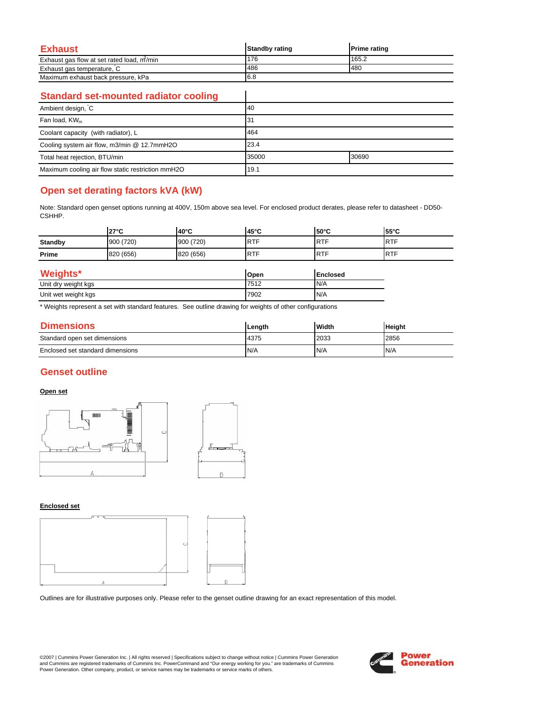| Exhaust                                   | <b>Standby rating</b> | <b>Prime rating</b> |
|-------------------------------------------|-----------------------|---------------------|
| Exhaust gas flow at set rated load, m/min | 176                   | 165.2               |
| Exhaust gas temperature, C                | 486                   | 480                 |
| Maximum exhaust back pressure, kPa        | 6.8                   |                     |

 $\overline{\phantom{a}}$ 

### **Standard set-mounted radiator cooling**

| Ambient design, C                                 | 40             |  |
|---------------------------------------------------|----------------|--|
| Fan load, $KW_m$                                  | 31             |  |
| Coolant capacity (with radiator), L               | 464            |  |
| Cooling system air flow, m3/min @ 12.7mmH2O       | 23.4           |  |
| Total heat rejection, BTU/min                     | 30690<br>35000 |  |
| Maximum cooling air flow static restriction mmH2O | 19.1           |  |

# **Open set derating factors kVA (kW)**

Note: Standard open genset options running at 400V, 150m above sea level. For enclosed product derates, please refer to datasheet - DD50- CSHHP.

|                     | $27^{\circ}$ C | 40°C      | $45^{\circ}$ C | $50^{\circ}$ C  | 55°C       |
|---------------------|----------------|-----------|----------------|-----------------|------------|
| <b>Standby</b>      | 900 (720)      | 900 (720) | <b>RTF</b>     | <b>RTF</b>      | <b>RTF</b> |
| Prime               | 820 (656)      | 820 (656) | <b>RTF</b>     | <b>RTF</b>      | <b>RTF</b> |
| <b>Weights*</b>     |                |           | Open           | <b>Enclosed</b> |            |
| Unit dry weight kgs |                | 7512      | N/A            |                 |            |
| Unit wet weight kgs |                | 7902      | N/A            |                 |            |

\* Weights represent a set with standard features. See outline drawing for weights of other configurations

| <b>Dimensions</b>                | Length | Width | <b>Height</b> |
|----------------------------------|--------|-------|---------------|
| Standard open set dimensions     | 4375   | 2033  | 2856          |
| Enclosed set standard dimensions | N/A    | N/A   | N/A           |

# **Genset outline**

#### **Open set**



#### **Enclosed set**



Outlines are for illustrative purposes only. Please refer to the genset outline drawing for an exact representation of this model.

©2007 | Cummins Power Generation Inc. | All rights reserved | Specifications subject to change without notice | Cummins Power Generation and Cummins are registered trademarks of Cummins Inc. PowerCommand and "Our energy working for you." are trademarks of Cummins<br>Power Generation. Other company, product, or service names may be trademarks or service marks o